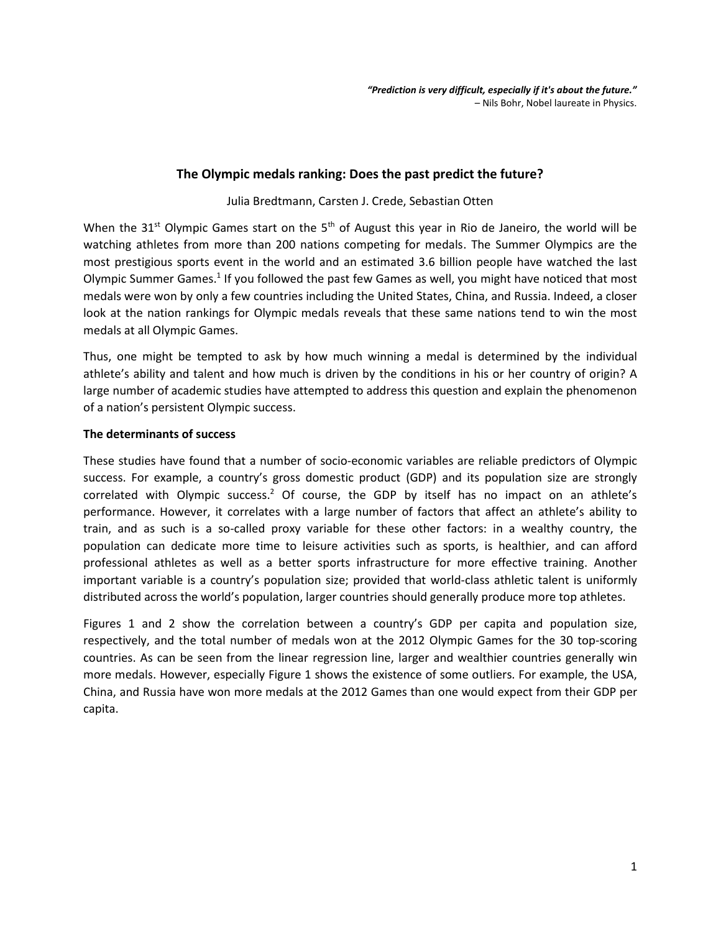# **The Olympic medals ranking: Does the past predict the future?**

#### Julia Bredtmann, Carsten J. Crede, Sebastian Otten

When the 31<sup>st</sup> Olympic Games start on the 5<sup>th</sup> of August this year in Rio de Janeiro, the world will be watching athletes from more than 200 nations competing for medals. The Summer Olympics are the most prestigious sports event in the world and an estimated 3.6 billion people have watched the last Olympic Summer Games.<sup>1</sup> If you followed the past few Games as well, you might have noticed that most medals were won by only a few countries including the United States, China, and Russia. Indeed, a closer look at the nation rankings for Olympic medals reveals that these same nations tend to win the most medals at all Olympic Games.

Thus, one might be tempted to ask by how much winning a medal is determined by the individual athlete's ability and talent and how much is driven by the conditions in his or her country of origin? A large number of academic studies have attempted to address this question and explain the phenomenon of a nation's persistent Olympic success.

#### **The determinants of success**

These studies have found that a number of socio-economic variables are reliable predictors of Olympic success. For example, a country's gross domestic product (GDP) and its population size are strongly correlated with Olympic success.<sup>2</sup> Of course, the GDP by itself has no impact on an athlete's performance. However, it correlates with a large number of factors that affect an athlete's ability to train, and as such is a so-called proxy variable for these other factors: in a wealthy country, the population can dedicate more time to leisure activities such as sports, is healthier, and can afford professional athletes as well as a better sports infrastructure for more effective training. Another important variable is a country's population size; provided that world-class athletic talent is uniformly distributed across the world's population, larger countries should generally produce more top athletes.

Figures 1 and 2 show the correlation between a country's GDP per capita and population size, respectively, and the total number of medals won at the 2012 Olympic Games for the 30 top-scoring countries. As can be seen from the linear regression line, larger and wealthier countries generally win more medals. However, especially Figure 1 shows the existence of some outliers. For example, the USA, China, and Russia have won more medals at the 2012 Games than one would expect from their GDP per capita.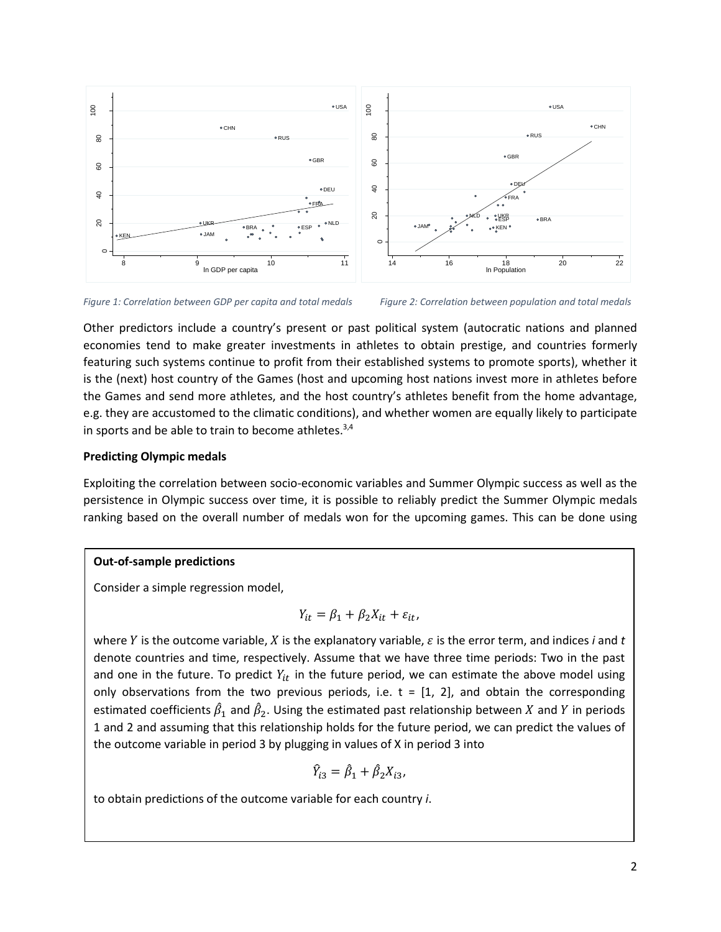

*Figure 1: Correlation between GDP per capita and total medals Figure 2: Correlation between population and total medals*



Other predictors include a country's present or past political system (autocratic nations and planned economies tend to make greater investments in athletes to obtain prestige, and countries formerly featuring such systems continue to profit from their established systems to promote sports), whether it is the (next) host country of the Games (host and upcoming host nations invest more in athletes before the Games and send more athletes, and the host country's athletes benefit from the home advantage, e.g. they are accustomed to the climatic conditions), and whether women are equally likely to participate in sports and be able to train to become athletes.<sup>3,4</sup>

# **Predicting Olympic medals**

Exploiting the correlation between socio-economic variables and Summer Olympic success as well as the persistence in Olympic success over time, it is possible to reliably predict the Summer Olympic medals ranking based on the overall number of medals won for the upcoming games. This can be done using

### **Out-of-sample predictions**

Consider a simple regression model,

$$
Y_{it} = \beta_1 + \beta_2 X_{it} + \varepsilon_{it},
$$

where  $Y$  is the outcome variable,  $X$  is the explanatory variable,  $\varepsilon$  is the error term, and indices  $i$  and  $t$ denote countries and time, respectively. Assume that we have three time periods: Two in the past and one in the future. To predict  $Y_{it}$  in the future period, we can estimate the above model using only observations from the two previous periods, i.e.  $t = [1, 2]$ , and obtain the corresponding estimated coefficients  $\hat{\beta}_1$  and  $\hat{\beta}_2$ . Using the estimated past relationship between  $X$  and  $Y$  in periods 1 and 2 and assuming that this relationship holds for the future period, we can predict the values of the outcome variable in period 3 by plugging in values of X in period 3 into

$$
\hat{Y}_{i3} = \hat{\beta}_1 + \hat{\beta}_2 X_{i3},
$$

to obtain predictions of the outcome variable for each country *i*.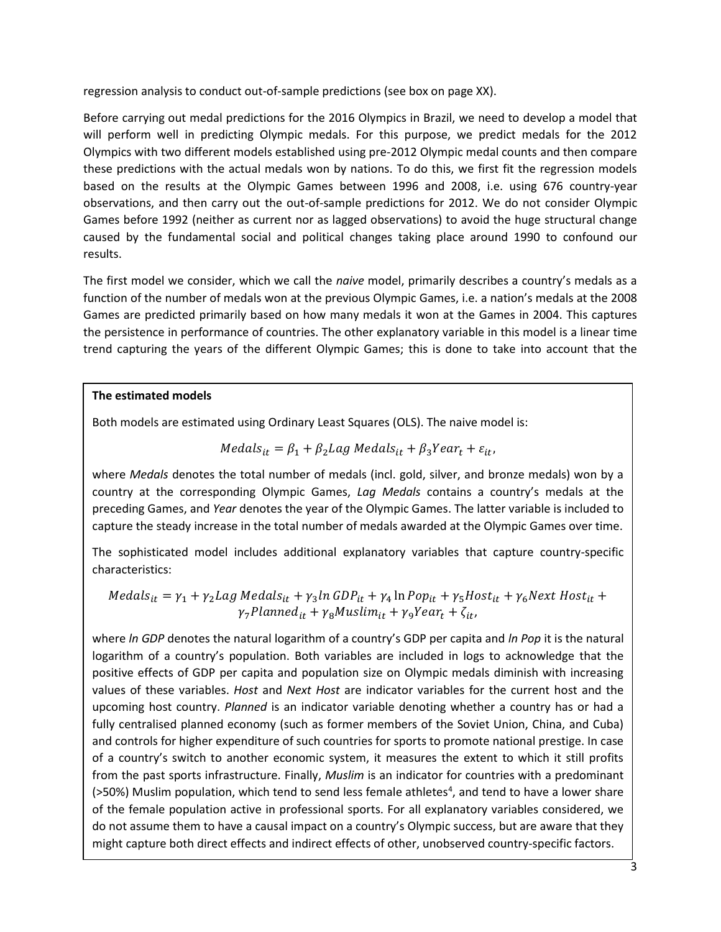regression analysis to conduct out-of-sample predictions (see box on page XX).

Before carrying out medal predictions for the 2016 Olympics in Brazil, we need to develop a model that will perform well in predicting Olympic medals. For this purpose, we predict medals for the 2012 Olympics with two different models established using pre-2012 Olympic medal counts and then compare these predictions with the actual medals won by nations. To do this, we first fit the regression models based on the results at the Olympic Games between 1996 and 2008, i.e. using 676 country-year observations, and then carry out the out-of-sample predictions for 2012. We do not consider Olympic Games before 1992 (neither as current nor as lagged observations) to avoid the huge structural change caused by the fundamental social and political changes taking place around 1990 to confound our results.

The first model we consider, which we call the *naive* model, primarily describes a country's medals as a function of the number of medals won at the previous Olympic Games, i.e. a nation's medals at the 2008 Games are predicted primarily based on how many medals it won at the Games in 2004. This captures the persistence in performance of countries. The other explanatory variable in this model is a linear time trend capturing the years of the different Olympic Games; this is done to take into account that the

# **The estimated models**

Both models are estimated using Ordinary Least Squares (OLS). The naive model is:

$$
Medals_{it} = \beta_1 + \beta_2 Lag\ Medals_{it} + \beta_3 Year_t + \varepsilon_{it},
$$

where *Medals* denotes the total number of medals (incl. gold, silver, and bronze medals) won by a country at the corresponding Olympic Games, *Lag Medals* contains a country's medals at the preceding Games, and *Year* denotes the year of the Olympic Games. The latter variable is included to capture the steady increase in the total number of medals awarded at the Olympic Games over time.

The sophisticated model includes additional explanatory variables that capture country-specific characteristics:

$$
Medals_{it} = \gamma_1 + \gamma_2 Lag\ Medals_{it} + \gamma_3 ln \ GDP_{it} + \gamma_4 ln \ Pop_{it} + \gamma_5 Host_{it} + \gamma_6 Next\ Host_{it} + \gamma_7 Planned_{it} + \gamma_8 Muslim_{it} + \gamma_9 Year_t + \zeta_{it},
$$

where *ln GDP* denotes the natural logarithm of a country's GDP per capita and *ln Pop* it is the natural logarithm of a country's population. Both variables are included in logs to acknowledge that the positive effects of GDP per capita and population size on Olympic medals diminish with increasing values of these variables. *Host* and *Next Host* are indicator variables for the current host and the upcoming host country. *Planned* is an indicator variable denoting whether a country has or had a fully centralised planned economy (such as former members of the Soviet Union, China, and Cuba) and controls for higher expenditure of such countries for sports to promote national prestige. In case of a country's switch to another economic system, it measures the extent to which it still profits from the past sports infrastructure. Finally, *Muslim* is an indicator for countries with a predominant (>50%) Muslim population, which tend to send less female athletes<sup>4</sup>, and tend to have a lower share of the female population active in professional sports. For all explanatory variables considered, we do not assume them to have a causal impact on a country's Olympic success, but are aware that they might capture both direct effects and indirect effects of other, unobserved country-specific factors.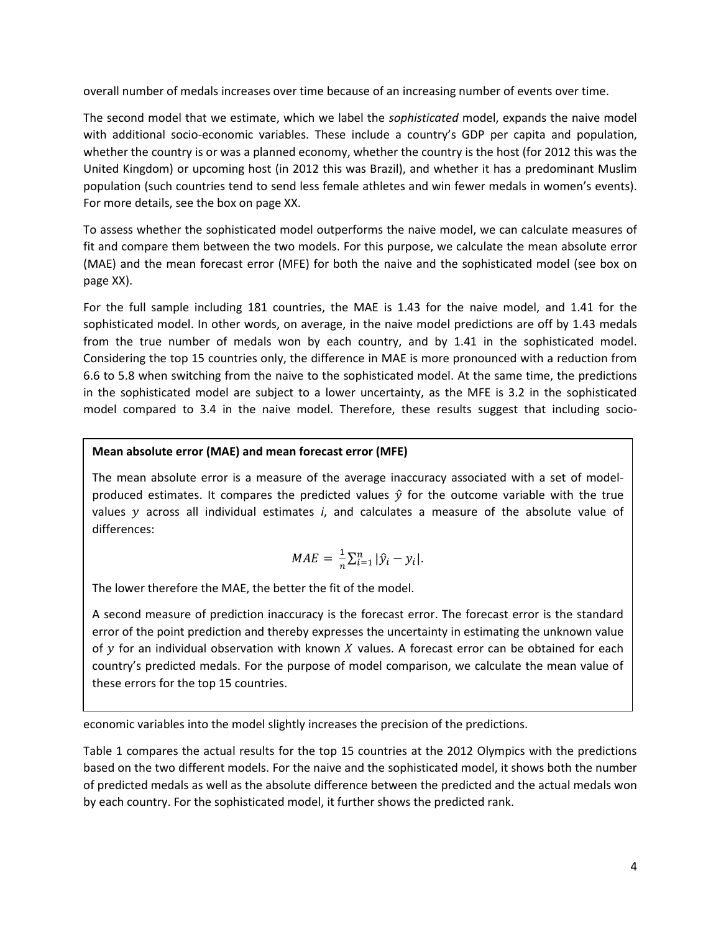overall number of medals increases over time because of an increasing number of events over time.

The second model that we estimate, which we label the *sophisticated* model, expands the naive model with additional socio-economic variables. These include a country's GDP per capita and population, whether the country is or was a planned economy, whether the country is the host (for 2012 this was the United Kingdom) or upcoming host (in 2012 this was Brazil), and whether it has a predominant Muslim population (such countries tend to send less female athletes and win fewer medals in women's events). For more details, see the box on page XX.

To assess whether the sophisticated model outperforms the naive model, we can calculate measures of fit and compare them between the two models. For this purpose, we calculate the mean absolute error (MAE) and the mean forecast error (MFE) for both the naive and the sophisticated model (see box on page XX).

For the full sample including 181 countries, the MAE is 1.43 for the naive model, and 1.41 for the sophisticated model. In other words, on average, in the naive model predictions are off by 1.43 medals from the true number of medals won by each country, and by 1.41 in the sophisticated model. Considering the top 15 countries only, the difference in MAE is more pronounced with a reduction from 6.6 to 5.8 when switching from the naive to the sophisticated model. At the same time, the predictions in the sophisticated model are subject to a lower uncertainty, as the MFE is 3.2 in the sophisticated model compared to 3.4 in the naive model. Therefore, these results suggest that including socio-

# **Mean absolute error (MAE) and mean forecast error (MFE)**

The mean absolute error is a measure of the average inaccuracy associated with a set of modelproduced estimates. It compares the predicted values  $\hat{y}$  for the outcome variable with the true values y across all individual estimates *i*, and calculates a measure of the absolute value of differences:

$$
MAE = \frac{1}{n} \sum_{i=1}^{n} |\hat{y}_i - y_i|.
$$

The lower therefore the MAE, the better the fit of the model.

A second measure of prediction inaccuracy is the forecast error. The forecast error is the standard error of the point prediction and thereby expresses the uncertainty in estimating the unknown value of  $y$  for an individual observation with known  $X$  values. A forecast error can be obtained for each country's predicted medals. For the purpose of model comparison, we calculate the mean value of these errors for the top 15 countries.

economic variables into the model slightly increases the precision of the predictions.

Table 1 compares the actual results for the top 15 countries at the 2012 Olympics with the predictions based on the two different models. For the naive and the sophisticated model, it shows both the number of predicted medals as well as the absolute difference between the predicted and the actual medals won by each country. For the sophisticated model, it further shows the predicted rank.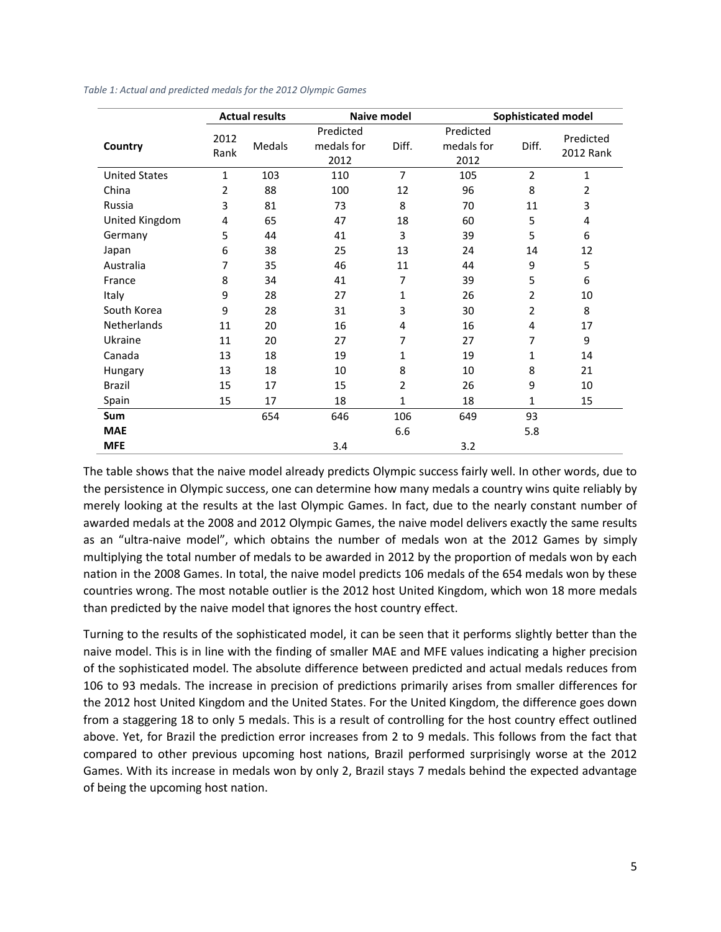|                      | <b>Actual results</b> |        | Naive model                     |                | <b>Sophisticated model</b>      |                |                        |
|----------------------|-----------------------|--------|---------------------------------|----------------|---------------------------------|----------------|------------------------|
| Country              | 2012<br>Rank          | Medals | Predicted<br>medals for<br>2012 | Diff.          | Predicted<br>medals for<br>2012 | Diff.          | Predicted<br>2012 Rank |
| <b>United States</b> | $\mathbf{1}$          | 103    | 110                             | $\overline{7}$ | 105                             | $\overline{2}$ | 1                      |
| China                | 2                     | 88     | 100                             | 12             | 96                              | 8              | 2                      |
| Russia               | 3                     | 81     | 73                              | 8              | 70                              | 11             | 3                      |
| United Kingdom       | 4                     | 65     | 47                              | 18             | 60                              | 5              | 4                      |
| Germany              | 5                     | 44     | 41                              | 3              | 39                              | 5              | 6                      |
| Japan                | 6                     | 38     | 25                              | 13             | 24                              | 14             | 12                     |
| Australia            | 7                     | 35     | 46                              | 11             | 44                              | 9              | 5                      |
| France               | 8                     | 34     | 41                              | 7              | 39                              | 5              | 6                      |
| Italy                | 9                     | 28     | 27                              | 1              | 26                              | 2              | 10                     |
| South Korea          | 9                     | 28     | 31                              | 3              | 30                              | 2              | 8                      |
| <b>Netherlands</b>   | 11                    | 20     | 16                              | 4              | 16                              | 4              | 17                     |
| Ukraine              | 11                    | 20     | 27                              | 7              | 27                              | 7              | 9                      |
| Canada               | 13                    | 18     | 19                              | 1              | 19                              | $\mathbf{1}$   | 14                     |
| Hungary              | 13                    | 18     | 10                              | 8              | 10                              | 8              | 21                     |
| <b>Brazil</b>        | 15                    | 17     | 15                              | 2              | 26                              | 9              | 10                     |
| Spain                | 15                    | 17     | 18                              | 1              | 18                              | $\mathbf{1}$   | 15                     |
| Sum                  |                       | 654    | 646                             | 106            | 649                             | 93             |                        |
| <b>MAE</b>           |                       |        |                                 | 6.6            |                                 | 5.8            |                        |
| <b>MFE</b>           |                       |        | 3.4                             |                | 3.2                             |                |                        |

*Table 1: Actual and predicted medals for the 2012 Olympic Games*

The table shows that the naive model already predicts Olympic success fairly well. In other words, due to the persistence in Olympic success, one can determine how many medals a country wins quite reliably by merely looking at the results at the last Olympic Games. In fact, due to the nearly constant number of awarded medals at the 2008 and 2012 Olympic Games, the naive model delivers exactly the same results as an "ultra-naive model", which obtains the number of medals won at the 2012 Games by simply multiplying the total number of medals to be awarded in 2012 by the proportion of medals won by each nation in the 2008 Games. In total, the naive model predicts 106 medals of the 654 medals won by these countries wrong. The most notable outlier is the 2012 host United Kingdom, which won 18 more medals than predicted by the naive model that ignores the host country effect.

Turning to the results of the sophisticated model, it can be seen that it performs slightly better than the naive model. This is in line with the finding of smaller MAE and MFE values indicating a higher precision of the sophisticated model. The absolute difference between predicted and actual medals reduces from 106 to 93 medals. The increase in precision of predictions primarily arises from smaller differences for the 2012 host United Kingdom and the United States. For the United Kingdom, the difference goes down from a staggering 18 to only 5 medals. This is a result of controlling for the host country effect outlined above. Yet, for Brazil the prediction error increases from 2 to 9 medals. This follows from the fact that compared to other previous upcoming host nations, Brazil performed surprisingly worse at the 2012 Games. With its increase in medals won by only 2, Brazil stays 7 medals behind the expected advantage of being the upcoming host nation.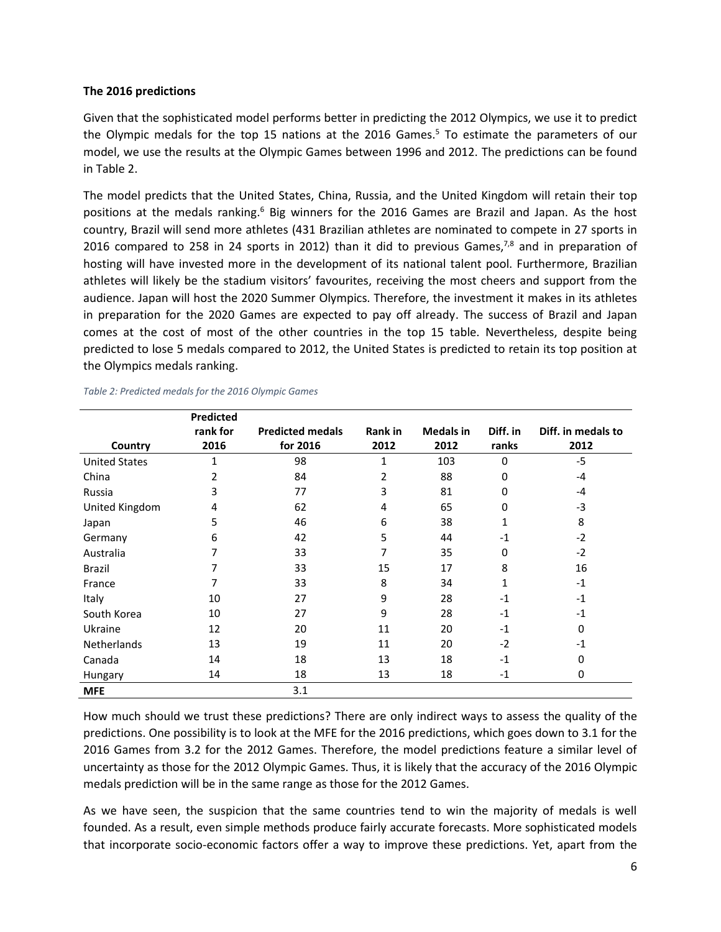### **The 2016 predictions**

Given that the sophisticated model performs better in predicting the 2012 Olympics, we use it to predict the Olympic medals for the top 15 nations at the 2016 Games.<sup>5</sup> To estimate the parameters of our model, we use the results at the Olympic Games between 1996 and 2012. The predictions can be found in Table 2.

The model predicts that the United States, China, Russia, and the United Kingdom will retain their top positions at the medals ranking.<sup>6</sup> Big winners for the 2016 Games are Brazil and Japan. As the host country, Brazil will send more athletes (431 Brazilian athletes are nominated to compete in 27 sports in 2016 compared to 258 in 24 sports in 2012) than it did to previous Games, $7,8$  and in preparation of hosting will have invested more in the development of its national talent pool. Furthermore, Brazilian athletes will likely be the stadium visitors' favourites, receiving the most cheers and support from the audience. Japan will host the 2020 Summer Olympics. Therefore, the investment it makes in its athletes in preparation for the 2020 Games are expected to pay off already. The success of Brazil and Japan comes at the cost of most of the other countries in the top 15 table. Nevertheless, despite being predicted to lose 5 medals compared to 2012, the United States is predicted to retain its top position at the Olympics medals ranking.

|                      | <b>Predicted</b> |                         |                |                  |          |                    |
|----------------------|------------------|-------------------------|----------------|------------------|----------|--------------------|
|                      | rank for         | <b>Predicted medals</b> | <b>Rank in</b> | <b>Medals in</b> | Diff. in | Diff. in medals to |
| Country              | 2016             | for 2016                | 2012           | 2012             | ranks    | 2012               |
| <b>United States</b> | 1                | 98                      | 1              | 103              | 0        | $-5$               |
| China                | 2                | 84                      | 2              | 88               | $\Omega$ | $-4$               |
| Russia               | 3                | 77                      | 3              | 81               | 0        | $-4$               |
| United Kingdom       | 4                | 62                      | 4              | 65               | 0        | $-3$               |
| Japan                | 5                | 46                      | 6              | 38               |          | 8                  |
| Germany              | 6                | 42                      | 5              | 44               | $-1$     | $-2$               |
| Australia            | 7                | 33                      | 7              | 35               | 0        | $-2$               |
| Brazil               | 7                | 33                      | 15             | 17               | 8        | 16                 |
| France               | 7                | 33                      | 8              | 34               | 1        | $-1$               |
| Italy                | 10               | 27                      | 9              | 28               | $-1$     | $-1$               |
| South Korea          | 10               | 27                      | 9              | 28               | $-1$     | $-1$               |
| Ukraine              | 12               | 20                      | 11             | 20               | $-1$     | $\Omega$           |
| <b>Netherlands</b>   | 13               | 19                      | 11             | 20               | $-2$     | $-1$               |
| Canada               | 14               | 18                      | 13             | 18               | $-1$     | $\Omega$           |
| Hungary              | 14               | 18                      | 13             | 18               | $-1$     | 0                  |
| <b>MFE</b>           |                  | 3.1                     |                |                  |          |                    |

*Table 2: Predicted medals for the 2016 Olympic Games*

How much should we trust these predictions? There are only indirect ways to assess the quality of the predictions. One possibility is to look at the MFE for the 2016 predictions, which goes down to 3.1 for the 2016 Games from 3.2 for the 2012 Games. Therefore, the model predictions feature a similar level of uncertainty as those for the 2012 Olympic Games. Thus, it is likely that the accuracy of the 2016 Olympic medals prediction will be in the same range as those for the 2012 Games.

As we have seen, the suspicion that the same countries tend to win the majority of medals is well founded. As a result, even simple methods produce fairly accurate forecasts. More sophisticated models that incorporate socio-economic factors offer a way to improve these predictions. Yet, apart from the